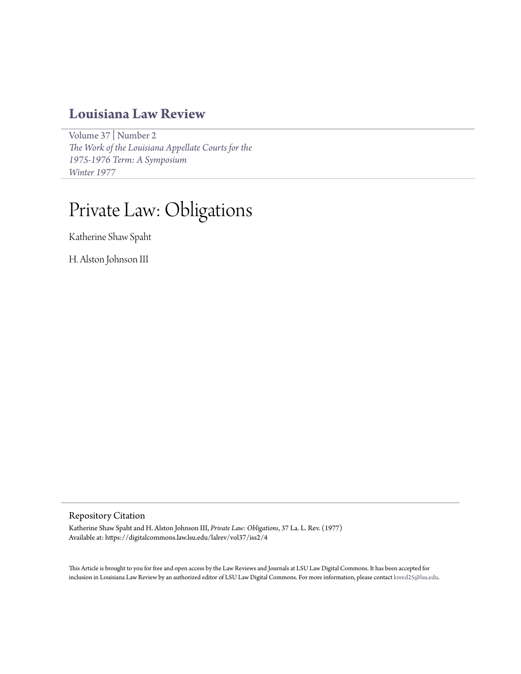# **[Louisiana Law Review](https://digitalcommons.law.lsu.edu/lalrev)**

[Volume 37](https://digitalcommons.law.lsu.edu/lalrev/vol37) | [Number 2](https://digitalcommons.law.lsu.edu/lalrev/vol37/iss2) *[The Work of the Louisiana Appellate Courts for the](https://digitalcommons.law.lsu.edu/lalrev/vol37/iss2) [1975-1976 Term: A Symposium](https://digitalcommons.law.lsu.edu/lalrev/vol37/iss2) [Winter 1977](https://digitalcommons.law.lsu.edu/lalrev/vol37/iss2)*

# Private Law: Obligations

Katherine Shaw Spaht

H. Alston Johnson III

# Repository Citation

Katherine Shaw Spaht and H. Alston Johnson III, *Private Law: Obligations*, 37 La. L. Rev. (1977) Available at: https://digitalcommons.law.lsu.edu/lalrev/vol37/iss2/4

This Article is brought to you for free and open access by the Law Reviews and Journals at LSU Law Digital Commons. It has been accepted for inclusion in Louisiana Law Review by an authorized editor of LSU Law Digital Commons. For more information, please contact [kreed25@lsu.edu](mailto:kreed25@lsu.edu).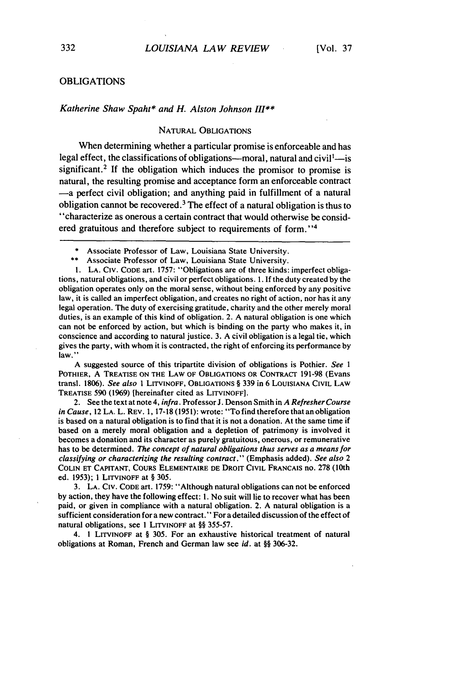# OBLIGATIONS

#### *Katherine Shaw Spaht\* and H. Alston Johnson III"*

# NATURAL OBLIGATIONS

When determining whether a particular promise is enforceable and has legal effect, the classifications of obligations---moral, natural and civil<sup>1</sup>--is significant.<sup>2</sup> If the obligation which induces the promisor to promise is natural, the resulting promise and acceptance form an enforceable contract -a perfect civil obligation; and anything paid in fulfillment of a natural obligation cannot be recovered. 3 The effect of a natural obligation is thus to "characterize as onerous a certain contract that would otherwise be considered gratuitous and therefore subject to requirements of form."<sup>4</sup>

\*\* Associate Professor of Law, Louisiana State University.

I. LA. Civ. CODE art. 1757: "Obligations are of three kinds: imperfect obligations, natural obligations, and civil or perfect obligations. 1. If the duty created by the obligation operates only on the moral sense, without being enforced by any positive law, it is called an imperfect obligation, and creates no right of action, nor has it any legal operation. The duty of exercising gratitude, charity and the other merely moral duties, is an example of this kind of obligation. 2. A natural obligation is one which can not be enforced by action, but which is binding on the party who makes it, in conscience and according to natural justice. 3. A civil obligation is a legal tie, which gives the party, with whom it is contracted, the right of enforcing its performance by law."

A suggested source of this tripartite division of obligations is Pothier. See *1* POTHIER, A TREATISE ON THE LAW OF OBLIGATIONS OR CONTRACT 191-98 (Evans transl. 1806). *See* also 1 LITVINOFF, OBLIGATIONS § 339 in 6 LOUISIANA CIVIL LAW TREATISE 590 (1969) [hereinafter cited as LITVINOFF].

2. See the text at note 4, infra. Professor J. Denson Smith in A Refresher Course in Cause, 12 LA. L. REV. 1, 17-18 (1951): wrote: "To find therefore that an obligation is based on a natural obligation is to find that it is not a donation. At the same time if based on a merely moral obligation and a depletion of patrimony is involved it becomes a donation and its character as purely gratuitous, onerous, or remunerative has to be determined. *The* concept of natural obligations thus *serves as a means for classifying or characterizing the* resulting contract." (Emphasis added). *See also 2* COLIN **ET** CAPITANT, **COURS** ELEMENTAIRE **DE** DROIT CIVIL FRANCAIS no. **278** (10th ed. 1953); 1 LITVINOFF at § 305.

3. LA. CIV. CODE art. 1759: "Although natural obligations can not be enforced by action, they have the following effect: **1.** No suit will lie to recover what has been paid, or given in compliance with a natural obligation. 2. A natural obligation is a sufficient consideration for a new contract." For a detailed discussion of the effect of natural obligations, see **1** LITVINOFF at §§ 355-57.

4. 1 LITVINOFF at § 305. For an exhaustive historical treatment of natural obligations at Roman, French and German law see *id.* at §§ 306-32.

Associate Professor of Law, Louisiana State University.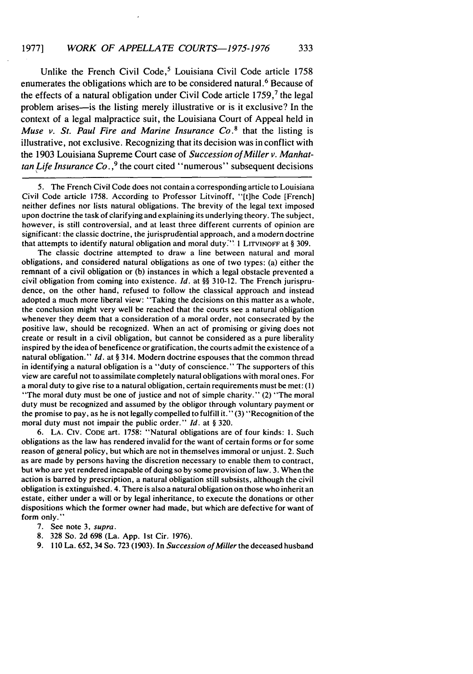Unlike the French Civil Code,<sup>5</sup> Louisiana Civil Code article 1758 enumerates the obligations which are to be considered natural.<sup>6</sup> Because of the effects of a natural obligation under Civil Code article  $1759$ ,  $7$  the legal problem arises-is the listing merely illustrative or is it exclusive? In the context of a legal malpractice suit, the Louisiana Court of Appeal held in *Muse v. St.* Paul *Fire and Marine Insurance Co.8* that the listing is illustrative, not exclusive. Recognizing that its decision was in conflict with the 1903 Louisiana Supreme Court case of *Succession of Miller v. Manhat*tan *Life Insurance Co.*,<sup>9</sup> the court cited "numerous" subsequent decisions

5. The French Civil Code does not contain a corresponding article to Louisiana Civil Code article 1758. According to Professor Litvinoff, "[t]he Code [French] neither defines nor lists natural obligations. The brevity of the legal text imposed upon doctrine the task of clarifying and explaining its underlying theory. The subject, however, is still controversial, and at least three different currents of opinion are significant: the classic doctrine, the jurisprudential approach, and a modern doctrine that attempts to identify natural obligation and moral duty?" **I** LITVINOFF at § 309.

The classic doctrine attempted to draw a line between natural and moral obligations, and considered natural obligations as one of two types: (a) either the remnant of a civil obligation or (b) instances in which a legal obstacle prevented a civil obligation from coming into existence. *Id.* at §§ 310-12. The French jurisprudence, on the other hand, refused to follow the classical approach and instead adopted a much more liberal view: "Taking the decisions on this matter as a whole, the conclusion might very well be reached that the courts see a natural obligation whenever they deem that a consideration of a moral order, not consecrated by the positive law, should be recognized. When an act of promising or giving does not create or result in a civil obligation, but cannot be considered as a pure liberality inspired by the idea of beneficence or gratification, the courts admit the existence of a natural obligation." *Id.* at § 314. Modern doctrine espouses that the common thread in identifying a natural obligation is a "duty of conscience." The supporters of this view are careful not to assimilate completely natural obligations with moral ones. For a moral duty to give rise to a natural obligation, certain requirements must be met: **(1)** "The moral duty must be one of justice and not of simple charity." (2) "The moral duty must be recognized and assumed by the obligor through voluntary payment or the promise to pay, as he is not legally compelled to fulfill it." (3) "Recognition of the moral duty must not impair the public order." *Id.* at § 320.

**6. LA.** CIv. CODE art. 1758: "Natural obligations are of four kinds: **1.** Such obligations as the law has rendered invalid for the want of certain forms or for some reason of general policy, but which are not in themselves immoral or unjust. 2. Such as are made by persons having the discretion necessary to enable them to contract, but who are yet rendered incapable of doing so by some provision of law. 3. When the action is barred by prescription, a natural obligation still subsists, although the civil obligation is extinguished. 4. There is also a natural obligation on those who inherit an estate, either under a will or by legal inheritance, to execute the donations or other dispositions which the former owner had made, but which are defective for want of form only."

- 7. See note 3, *supra.*
- 8. 328 So. 2d 698 (La. App. 1st Cir. 1976).
- 9. **110** La. 652, 34 So. 723 (1903). In *Succession of Miller* the deceased husband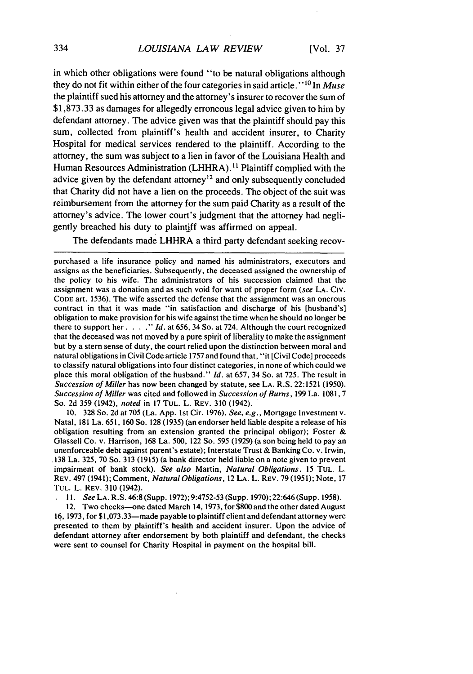# LOUISIANA LAW REVIEW

in which other obligations were found "to be natural obligations although they do not fit within either of the four categories in said article." **1 <sup>0</sup>**In Muse the plaintiff sued his attorney and the attorney's insurer to recover the sum of \$1,873.33 as damages for allegedly erroneous legal advice given to him by defendant attorney. The advice given was that the plaintiff should pay this sum, collected from plaintiff's health and accident insurer, to Charity Hospital for medical services rendered to the plaintiff. According to the attorney, the sum was subject to a lien in favor of the Louisiana Health and Human Resources Administration (LHHRA). **"** Plaintiff complied with the advice given by the defendant attorney<sup>12</sup> and only subsequently concluded that Charity did not have a lien on the proceeds. The object of the suit was reimbursement from the attorney for the sum paid Charity as a result of the attorney's advice. The lower court's judgment that the attorney had negligently breached his duty to plaintiff was affirmed on appeal.

The defendants made LHHRA a third party defendant seeking recov-

10. 328 So. 2d at 705 (La. App. 1st Cir. 1976). See, e.g., Mortgage Investment v. Natal, 181 La. 651, 160 So. 128 (1935) (an endorser held liable despite a release of his obligation resulting from an extension granted the principal obligor); Foster & Glassell Co. v. Harrison, 168 La. 500, 122 So. 595 (1929) (a son being held to pay an unenforceable debt against parent's estate); Interstate Trust & Banking Co. v. Irwin, 138 La. 325, 70 So. 313 (1915) (a bank director held liable on a note given to prevent impairment of bank stock). See also Martin, Natural *Obligations.* 15 TUL. L. REV. 497 (1941); Comment, *Natural Obligations,* 12 LA. L. REV. 79 (1951); Note, 17 TUL. L. REV. 310 (1942).

*11. See* LA. R.S. 46:8 (Supp. 1972); 9:4752-53 (Supp. 1970); 22:646 (Supp. 1958).

12. Two checks--one dated March 14, 1973, for \$800 and the other dated August 16, 1973, for \$1,073.33-made payable to plaintiff client and defendant attorney were presented to them by plaintiff's health and accident insurer. Upon the advice of defendant attorney after endorsement by both plaintiff and defendant, the checks were sent to counsel for Charity Hospital in payment on the hospital bill.

purchased a life insurance policy and named his administrators, executors and assigns as the beneficiaries. Subsequently, the deceased assigned the ownership of the policy to his wife. The administrators of his succession claimed that the assignment was a donation and as such void for want of proper form (see LA. CIv. CODE art. 1536). The wife asserted the defense that the assignment was an onerous contract in that it was made "in satisfaction and discharge of his [husband's] obligation to make provision for his wife against the time when he should no longer be there to support her .... *"* Id. at 656, 34 So. at 724. Although the court recognized that the deceased was not moved by a pure spirit of liberality to make the assignment but by a stern sense of duty, the court relied upon the distinction between moral and natural obligations in Civil Code article 1757 and found that, "it [Civil Code] proceeds to classify natural obligations into four distinct categories, in none of which could we place this moral obligation of the husband." **Id.** at 657, 34 So. at 725. The result in Succession of Miller has now been changed by statute, see LA. R.S. 22:1521 (1950). Succession of Miller was cited and followed in Succession of Burns, 199 La. 1081, **7** So. 2d 359 (1942), noted in 17 TUL. L. REV. 310 (1942).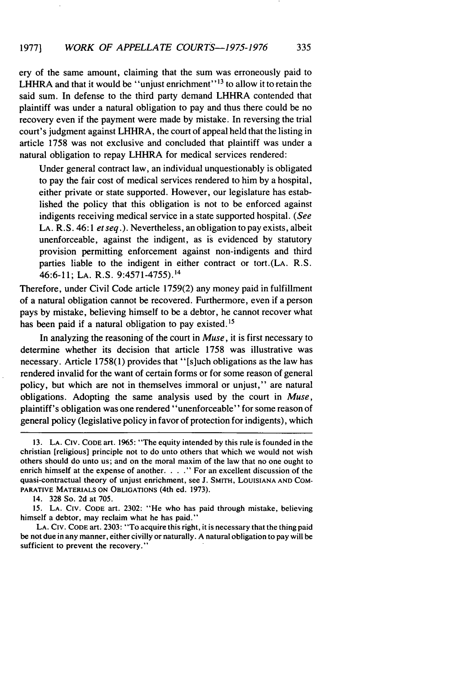ery of the same amount, claiming that the sum was erroneously paid to LHHRA and that it would be "unjust enrichment"<sup>13</sup> to allow it to retain the said sum. In defense to the third party demand LHHRA contended that plaintiff was under a natural obligation to pay and thus there could be no recovery even if the payment were made by mistake. In reversing the trial court's judgment against LHHRA, the court of appeal held that the listing in article 1758 was not exclusive and concluded that plaintiff was under a natural obligation to repay LHHRA for medical services rendered:

Under general contract law, an individual unquestionably is obligated to pay the fair cost of medical services rendered to him by a hospital, either private or state supported. However, our legislature has established the policy that this obligation is not to be enforced against indigents receiving medical service in a state supported hospital. *(See* LA. R. S. 46:1 *et seq.).* Nevertheless, an obligation to pay exists, albeit unenforceable, against the indigent, as is evidenced by statutory provision permitting enforcement against non-indigents and third parties liable to the indigent in either contract or tort.(LA. R.S. 46:6-11; LA. R.S. 9:4571-4755). <sup>14</sup>

Therefore, under Civil Code article 1759(2) any money paid in fulfillment of a natural obligation cannot be recovered. Furthermore, even if a person pays by mistake, believing himself to be a debtor, he cannot recover what has been paid if a natural obligation to pay existed.<sup>15</sup>

In analyzing the reasoning of the court in *Muse,* it is first necessary to determine whether its decision that article 1758 was illustrative was necessary. Article 1758(1) provides that "[s]uch obligations as the law has rendered invalid for the want of certain forms or for some reason of general policy, but which are not in themselves immoral or unjust," are natural obligations. Adopting the same analysis used by the court in *Muse,* plaintiff's obligation was one rendered "unenforceable" for some reason of general policy (legislative policy in favor of protection for indigents), which

LA. CIV. CODE art. 2303: "To acquire this right, it is necessary that the thing paid be not due in any manner, either civilly or naturally. A natural obligation to pay will be sufficient to prevent the recovery."

<sup>13.</sup> **LA.** CIV. CODE art. 1965: "The equity intended by this rule is founded in the christian [religious] principle not to do unto others that which we would not wish others should do unto us; and on the moral maxim of the law that no one ought to enrich himself at the expense of another. . . . " For an excellent discussion of the quasi-contractual theory of unjust enrichment, see J. SMITH, LOUISIANA **AND** COM-PARATIVE MATERIALS **ON OBLIGATIONS** (4th ed. 1973).

<sup>14. 328</sup> So. 2d at 705.

<sup>15.</sup> LA. CIv. **CODE** art. 2302: "He who has paid through mistake, believing himself a debtor, may reclaim what he has paid.'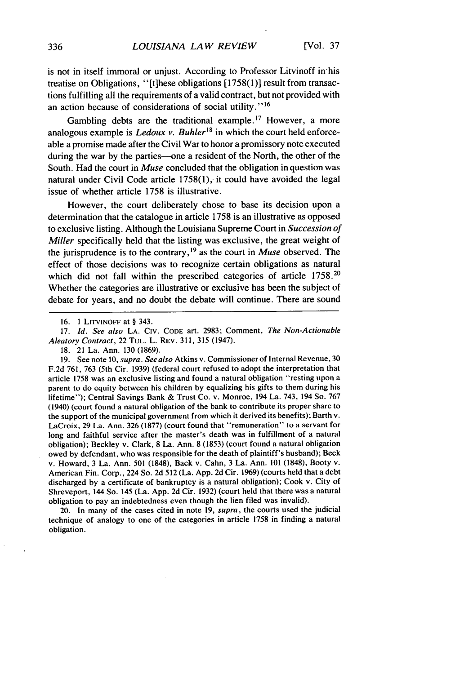is not in itself immoral or unjust. According to Professor Litvinoff in'his treatise on Obligations, "[t]hese obligations [1758(1)] result from transactions fulfilling all the requirements of a valid contract, but not provided with an action because of considerations of social utility."<sup>16</sup>

Gambling debts are the traditional example.<sup>17</sup> However, a more analogous example is *Ledoux v. Buhler"8* in which the court held enforceable a promise made after the Civil War to honor a promissory note executed during the war by the parties--one a resident of the North, the other of the South. Had the court in *Muse* concluded that the obligation in question was natural under Civil Code article  $1758(1)$ , it could have avoided the legal issue of whether article 1758 is illustrative.

However, the court deliberately chose to base its decision upon a determination that the catalogue in article 1758 is an illustrative as opposed to exclusive listing. Although the Louisiana Supreme Court in *Succession of Miller* specifically held that the listing was exclusive, the great weight of the jurisprudence is to the contrary,<sup>19</sup> as the court in *Muse* observed. The effect of those decisions was to recognize certain obligations as natural which did not fall within the prescribed categories of article 1758.<sup>20</sup> Whether the categories are illustrative or exclusive has been the subject of debate for years, and no doubt the debate will continue. There are sound

17. *Id. See also* **LA.** CIV. CODE art. 2983; Comment, *The Non-Actionable Aleatory Contract,* 22 TUL. L. REV. 311, 315 (1947).

19. See note 10, *supra. See also* Atkins v. Commissioner of Internal Revenue, 30 F.2d 761, 763 (5th Cir. 1939) (federal court refused to adopt the interpretation that article 1758 was an exclusive listing and found a natural obligation "resting upon a parent to do equity between his children by equalizing his gifts to them during his lifetime"); Central Savings Bank & Trust Co. v. Monroe, 194 La. 743, 194 So. 767 (1940) (court found a natural obligation of the bank to contribute its proper share to the support of the municipal government from which it derived its benefits); Barth v. LaCroix, 29 La. Ann. 326 (1877) (court found that "remuneration" to a servant for long and faithful service after the master's death was in fulfillment of a natural obligation); Beckley v. Clark, 8 La. Ann. 8 (1853) (court found a natural obligation owed by defendant, who was responsible for the death of plaintiff's husband); Beck v. Howard, 3 La. Ann. 501 (1848), Back v. Cahn, 3 La. Ann. 101 (1848), Booty v. American Fin. Corp., 224 So. 2d 512 (La. App. 2d Cir. 1969) (courts held that a debt discharged by a certificate of bankruptcy is a natural obligation); Cook v. City of Shreveport, 144 So. 145 (La. App. 2d Cir. 1932) (court held that there was a natural obligation to pay an indebtedness even though the lien filed was invalid).

20. In many of the cases cited in note 19, *supra,* the courts used the judicial technique of analogy to one of the categories in article 1758 in finding a natural obligation.

<sup>16. 1</sup> **LITVINOFF** at § 343.

<sup>18. 21</sup> La. Ann. 130 (1869).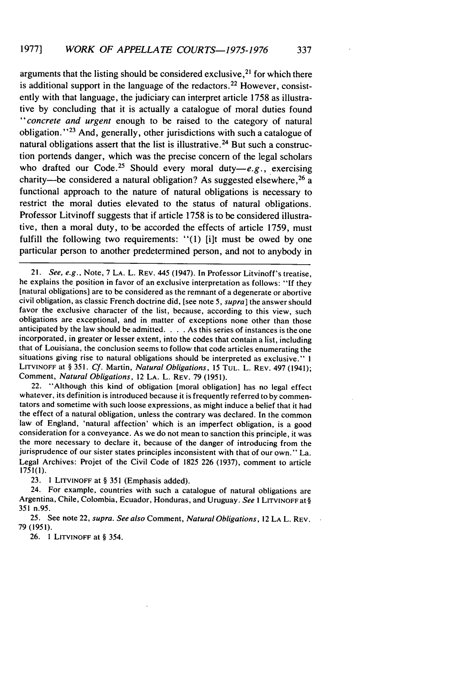arguments that the listing should be considered exclusive, $2<sup>1</sup>$  for which there is additional support in the language of the redactors. 22 However, consistently with that language, the judiciary can interpret article 1758 as illustrative by concluding that it is actually a catalogue of moral duties found *"concrete* and urgent enough to be raised to the category of natural obligation. "23 And, generally, other jurisdictions with such a catalogue of natural obligations assert that the list is illustrative.<sup>24</sup> But such a construction portends danger, which was the precise concern of the legal scholars who drafted our Code.<sup>25</sup> Should every moral duty-e.g., exercising charity-be considered a natural obligation? As suggested elsewhere,<sup>26</sup> a functional approach to the nature of natural obligations is necessary to restrict the moral duties elevated to the status of natural obligations. Professor Litvinoff suggests that if article 1758 is to be considered illustrative, then a moral duty, to'be accorded the effects of article 1759, must fulfill the following two requirements: "(1) [i]t must be owed by one particular person to another predetermined person, and not to anybody in

21. See, e.g., Note, 7 LA. L. REV. 445 (1947). In Professor Litvinoff's treatise, he explains the position in favor of an exclusive interpretation as follows: "If they [natural obligations] are to be considered as the remnant of a degenerate or abortive civil obligation, as classic French doctrine did, [see note 5, supra] the answer should favor the exclusive character of the list, because, according to this view, such obligations are exceptional, and in matter of exceptions none other than those anticipated by the law should be admitted. . **.** .As this series of instances is the one incorporated, in greater or lesser extent, into the codes that contain a list, including that of Louisiana, the conclusion seems to follow that code articles enumerating the situations giving rise to natural obligations should be interpreted as exclusive." **I** LITVINOFF at § 351. Cf. Martin, Natural Obligations, 15 TUL. L. REV. 497 (1941); Comment, Natural Obligations, 12 LA. L. REV. 79 (1951).

22. "Although this kind of obligation [moral obligation] has no legal effect whatever, its definition is introduced because it is frequently referred to by commentators and sometime with such loose expressions, as might induce a belief that it had the effect of a natural obligation, unless the contrary was declared. In the common law of England, 'natural affection' which is an imperfect obligation, is a good consideration for a conveyance. As we do not mean to sanction this principle, it was the more necessary to declare it, because of the danger of introducing from the jurisprudence of our sister states principles inconsistent with that of our own." La. Legal Archives: Projet of the Civil Code of 1825 226 (1937), comment to article **1751(l).**

23. **1** LITVINOFF at § 351 (Emphasis added).

24. For example, countries with such a catalogue of natural obligations are Argentina, Chile, Colombia, Ecuador, Honduras, and Uruguay. See I LITVINOFF at **§** 351 n.95.

25. See note 22, supra. See also Comment, Natural Obligations, 12 LA L. REV. 79 (1951).

26. 1 LITVINOFF at § 354.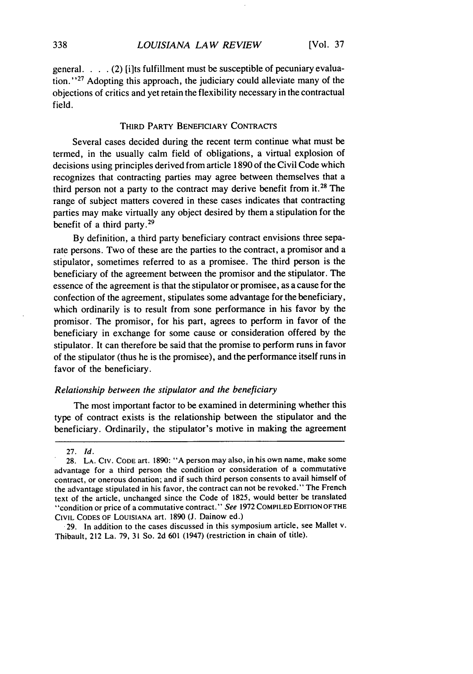general. . **.** . (2) [i]ts fulfillment must be susceptible of pecuniary evaluation."<sup>27</sup> Adopting this approach, the judiciary could alleviate many of the objections of critics and yet retain the flexibility necessary in the contractual field.

# THIRD PARTY BENEFICIARY CONTRACTS

Several cases decided during the recent term continue what must be termed, in the usually calm field of obligations, a virtual explosion of decisions using principles derived from article 1890 of the Civil Code which recognizes that contracting parties may agree between themselves that a third person not a party to the contract may derive benefit from **it.28** The range of subject matters covered in these cases indicates that contracting parties may make virtually any object desired by them a stipulation for the benefit of a third party. $29$ 

By definition, a third party beneficiary contract envisions three separate persons. Two of these are the parties to the contract, a promisor and a stipulator, sometimes referred to as a promisee. The third person is the beneficiary of the agreement between the promisor and the stipulator. The essence of the agreement is that the stipulator or promisee, as a cause for the confection of the agreement, stipulates some advantage for the beneficiary, which ordinarily is to result from sone performance in his favor by the promisor. The promisor, for his part, agrees to perform in favor of the beneficiary in exchange for some cause or consideration offered by the stipulator. It can therefore be said that the promise to perform runs in favor of the stipulator (thus he is the promisee), and the performance itself runs in favor of the beneficiary.

# *Relationship between the stipulator and the beneficiary*

The most important factor to be examined in determining whether this type of contract exists is the relationship between the stipulator and the beneficiary. Ordinarily, the stipulator's motive in making the agreement

<sup>27.</sup> Id.

<sup>28.</sup> LA. CIv. CODE art. 1890: "A person may also, in his own name, make some advantage for a third person the condition or consideration of a commutative contract, or onerous donation; and if such third person consents to avail himself of the advantage stipulated in his favor, the contract can not be revoked." The French text of the article, unchanged since the Code of 1825, would better be translated "condition or price of a commutative contract." *See* 1972 COMPILED **EDITION** OFTHE CIVIL CODES OF LOUISIANA art. 1890 **(J.** Dainow ed.)

<sup>29.</sup> In addition to the cases discussed in this symposium article, see Mallet v. Thibault, 212 La. 79, 31 So. 2d 601 (1947) (restriction in chain of title).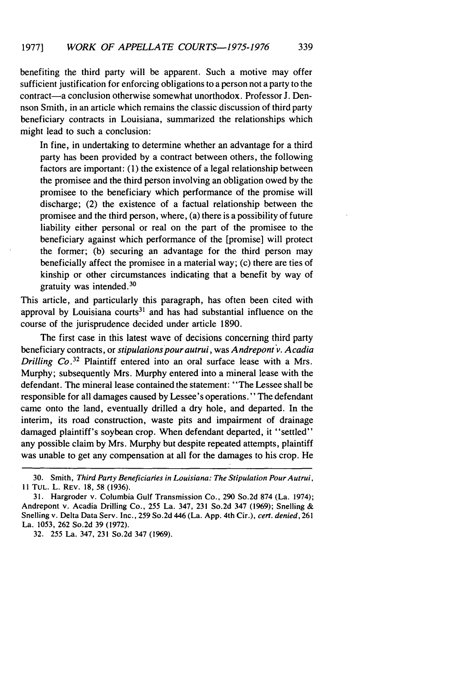benefiting the third party will be apparent. Such a motive may offer sufficient justification for enforcing obligations to a person not a party to the contract-a conclusion otherwise somewhat unorthodox. Professor J. Dennson Smith, in an article which remains the classic discussion of third party beneficiary contracts in Louisiana, summarized the relationships which might lead to such a conclusion:

In fine, in undertaking to determine whether an advantage for a third party has been provided by a contract between others, the following factors are important: (1) the existence of a legal relationship between the promisee and the third person involving an obligation owed by the promisee to the beneficiary which performance of the promise will discharge; (2) the existence of a factual relationship between the promisee and the third person, where, (a) there is a possibility of future liability either personal or real on the part of the promisee to the beneficiary against which performance of the [promise] will protect the former; (b) securing an advantage for the third person may beneficially affect the promisee in a material way; (c) there are ties of kinship or other circumstances indicating that a benefit by way of gratuity was intended.<sup>3</sup>

This article, and particularly this paragraph, has often been cited with approval by Louisiana courts $31$  and has had substantial influence on the course of the jurisprudence decided under article 1890.

The first case in this latest wave of decisions concerning third party beneficiary contracts, or *stipulations pour autrui,* was *Andrepont v. Acadia Drilling Co.*<sup>32</sup> Plaintiff entered into an oral surface lease with a Mrs. Murphy; subsequently Mrs. Murphy entered into a mineral lease with the defendant. The mineral lease contained the statement: "The Lessee shall be responsible for all damages caused by Lessee's operations." The defendant came onto the land, eventually drilled a dry hole, and departed. In the interim, its road construction, waste pits and impairment of drainage damaged plaintiff's soybean crop. When defendant departed, it "settled" any possible claim by Mrs. Murphy but despite repeated attempts, plaintiff was unable to get any compensation at all for the damages to his crop. He

32. 255 La. 347, 231 So.2d 347 (1969).

<sup>30.</sup> Smith, Third Party Beneficiaries in Louisiana: The Stipulation Pour Autrui, **Il** TUL. L. REV. 18, 58 (1936).

<sup>31.</sup> Hargroder v. Columbia Gulf Transmission Co., 290 So.2d 874 (La. 1974); Andrepont v. Acadia Drilling Co., 255 La. 347, 231 So.2d 347 (1969); Snelling **&** Snelling v. Delta Data Serv. Inc., 259 So.2d 446 (La. App. 4th Cir.), cert. denied, 261 La. 1053, 262 So.2d 39 (1972).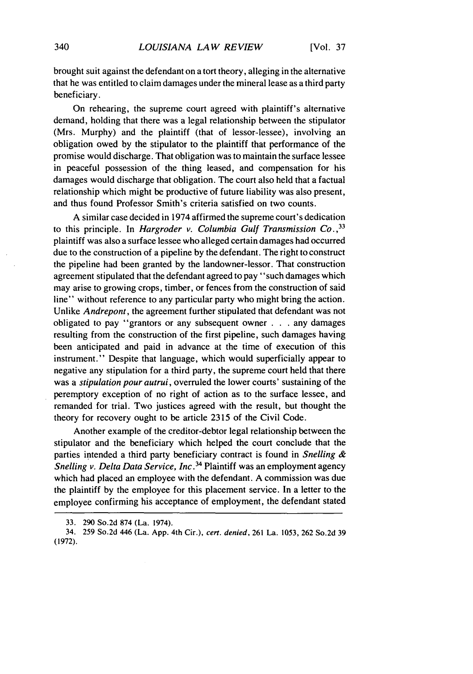brought suit against the defendant on a tort theory, alleging in the alternative that he was entitled to claim damages under the mineral lease as a third party beneficiary.

On rehearing, the supreme court agreed with plaintiff's alternative demand, holding that there was a legal relationship between the stipulator (Mrs. Murphy) and the plaintiff (that of lessor-lessee), involving an obligation owed by the stipulator to the plaintiff that performance of the promise would discharge. That obligation was to maintain the surface lessee in peaceful possession of the thing leased, and compensation for his damages would discharge that obligation. The court also held that a factual relationship which might be productive of future liability was also present, and thus found Professor Smith's criteria satisfied on two counts.

A similar case decided in 1974 affirmed the supreme court's dedication to this principle. In *Hargroder v. Columbia Gulf Transmission Co.,33* plaintiff was also a surface lessee who alleged certain damages had occurred due to the construction of a pipeline by the defendant. The right to construct the pipeline had been granted by the landowner-lessor. That construction agreement stipulated that the defendant agreed to pay "such damages which may arise to growing crops, timber, or fences from the construction of said line" without reference to any particular party who might bring the action. Unlike *Andrepont,* the agreement further stipulated that defendant was not obligated to pay "grantors or any subsequent owner . **.** . any damages resulting from the construction of the first pipeline, such damages having been anticipated and paid in advance at the time of execution of this instrument." Despite that language, which would superficially appear to negative any stipulation for a third party, the supreme court held that there was a *stipulation* pour autrui, overruled the lower courts' sustaining of the peremptory exception of no right of action as to the surface lessee, and remanded for trial. Two justices agreed with the result, but thought the theory for recovery ought to be article 2315 of the Civil Code.

Another example of the creditor-debtor legal relationship between the stipulator and the beneficiary which helped the court conclude that the parties intended a third party beneficiary contract is found in *Snelling & Snelling v. Delta Data Service, Inc.*<sup>34</sup> Plaintiff was an employment agency which had placed an employee with the defendant. A commission was due the plaintiff by the employee for this placement service. In a letter to the employee confirming his acceptance of employment, the defendant stated

<sup>33. 290</sup> So.2d 874 (La. 1974).

<sup>34. 259</sup> So.2d 446 (La. App. 4th Cir.), cert. denied, 261 La. 1053, 262 So.2d 39 (1972).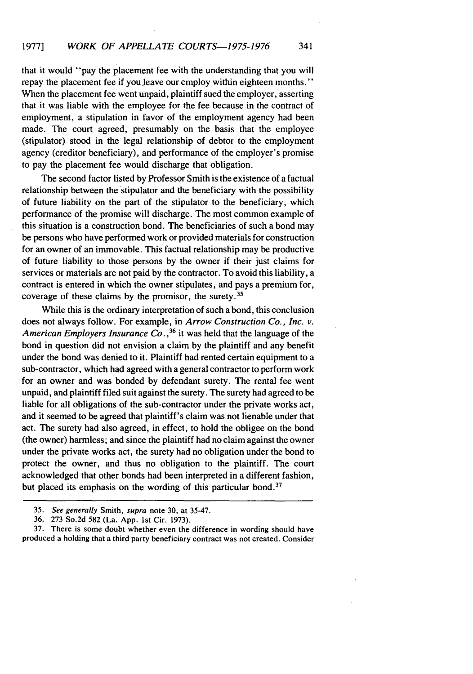that it would "pay the placement fee with the understanding that you will repay the placement fee if you leave our employ within eighteen months." When the placement fee went unpaid, plaintiff sued the employer, asserting that it was liable with the employee for the fee because in the contract of employment, a stipulation in favor of the employment agency had been made. The court agreed, presumably on the basis that the employee (stipulator) stood in the legal relationship of debtor to the employment agency (creditor beneficiary), and performance of the employer's promise to pay the placement fee would discharge that obligation.

The second factor listed by Professor Smith is the existence of a factual relationship between the stipulator and the beneficiary with the possibility of future liability on the part of the stipulator to the beneficiary, which performance of the promise will discharge. The most common example of this situation is a construction bond. The beneficiaries of such a bond may be persons who have performed work or provided materials for construction for an owner of an immovable. This factual relationship may be productive of future liability to those persons by the owner if their just claims for services or materials are not paid by the contractor. To avoid this liability, a contract is entered in which the owner stipulates, and pays a premium for, coverage of these claims by the promisor, the surety. <sup>35</sup>

While this is the ordinary interpretation of such a bond, this conclusion does not always follow. For example, in *Arrow Construction Co., Inc. v.* American Employers Insurance Co.,<sup>36</sup> it was held that the language of the bond in question did not envision a claim by the plaintiff and any benefit under the bond was denied to it. Plaintiff had rented certain equipment to a sub-contractor, which had agreed with a general contractor to perform work for an owner and was bonded by defendant surety. The rental fee went unpaid, and plaintiff filed suit against the surety. The surety had agreed to be liable for all obligations of the sub-contractor under the private works act, and it seemed to be agreed that plaintiff's claim was not lienable under that act. The surety had also agreed, in effect, to hold the obligee on the bond (the owner) harmless; and since the plaintiff had no claim against the owner under the private works act, the surety had no obligation under the bond to protect the owner, and thus no obligation to the plaintiff. The court acknowledged that other bonds had been interpreted in a different fashion, but placed its emphasis on the wording of this particular bond.<sup>37</sup>

37. There is some doubt whether even the difference in wording should have produced a holding that a third party beneficiary contract was not created. Consider

<sup>35.</sup> See generally Smith, supra note 30, at 35-47.

<sup>36. 273</sup> So.2d 582 (La. App. 1st Cir. 1973).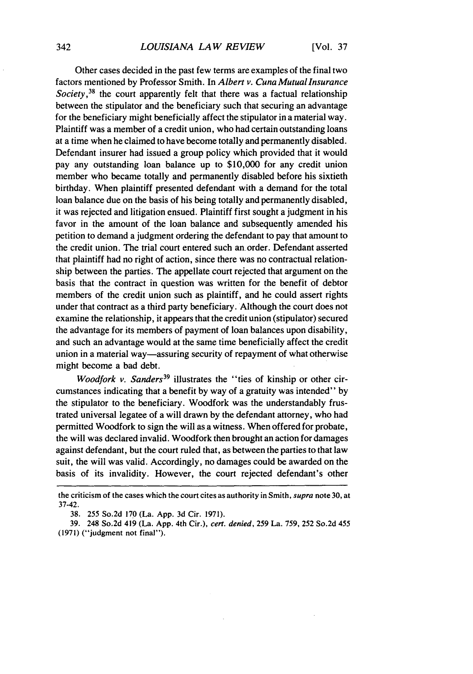Other cases decided in the past few terms are examples of the final two factors mentioned by Professor Smith. In *Albert v. Cuna Mutual Insurance Society 38* the court apparently felt that there was a factual relationship between the stipulator and the beneficiary such that securing an advantage for the beneficiary might beneficially affect the stipulator in a material way. Plaintiff was a member of a credit union, who had certain outstanding loans at a time when he claimed to have become totally and permanently disabled. Defendant insurer had issued a group policy which provided that it would pay any outstanding loan balance up to \$10,000 for any credit union member who became totally and permanently disabled before his sixtieth birthday. When plaintiff presented defendant with a demand for the total loan balance due on the basis of his being totally and permanently disabled, it was rejected and litigation ensued. Plaintiff first sought a judgment in his favor in the amount of the loan balance and subsequently amended his petition to demand a judgment ordering the defendant to pay that amount to the credit union. The trial court entered such an order. Defendant asserted that plaintiff had no right of action, since there was no contractual relationship between the parties. The appellate court rejected that argument on the basis that the contract in question was written for the benefit of debtor members of the credit union such as plaintiff, and he could assert rights under that contract as a third party beneficiary. Although the court does not examine the relationship, it appears that the credit union (stipulator) secured the advantage for its members of payment of loan balances upon disability, and such an advantage would at the same time beneficially affect the credit union in a material way-assuring security of repayment of what otherwise might become a bad debt.

Woodfork *v.* Sanders<sup>39</sup> illustrates the "ties of kinship or other circumstances indicating that a benefit by way of a gratuity was intended" by the stipulator to the beneficiary. Woodfork was the understandably frustrated universal legatee of a will drawn by the defendant attorney, who had permitted Woodfork to sign the will as a witness. When offered for probate, the will was declared invalid. Woodfork then brought an action for damages against defendant, but the court ruled that, as between the parties to that law suit, the will was valid. Accordingly, no damages could be awarded on the basis of its invalidity. However, the court rejected defendant's other

the criticism of the cases which the court cites as authority in Smith, *supra* note 30, at 37-42.

<sup>38.</sup> 255 So.2d 170 (La. App. 3d Cir. 1971).

<sup>39. 248</sup> So.2d 419 (La. App. 4th Cir.), *cert. denied,* 259 La. 759, 252 So.2d 455 (1971) ("judgment not final").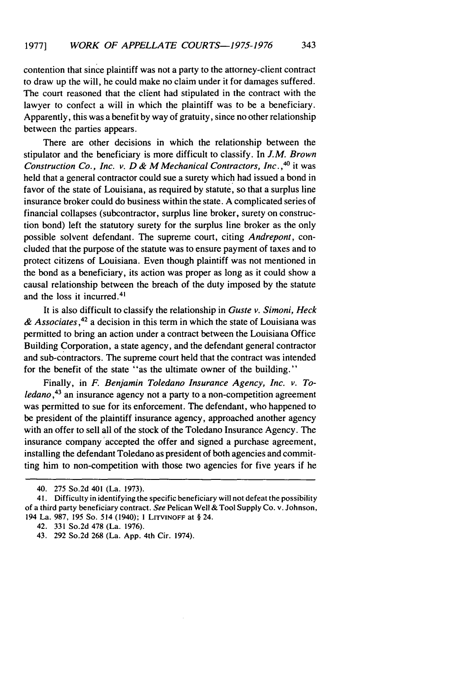contention that since plaintiff was not a party to the attorney-client contract to draw up the will, he could make no claim under it for damages suffered. The court reasoned that the client had stipulated in the contract with the lawyer to confect a will in which the plaintiff was to be a beneficiary. Apparently, this was a benefit by way of gratuity, since no other relationship between the parties appears.

There are other decisions in which the relationship between the stipulator and the beneficiary is more difficult to classify. In *J.M. Brown* Construction Co., Inc. v. D & M Mechanical Contractors, Inc.,<sup>40</sup> it was held that a general contractor could sue a surety which had issued a bond in favor of the state of Louisiana, as required by statute, so that a surplus line insurance broker could do business within the state. A complicated series of financial collapses (subcontractor, surplus line broker, surety on construction bond) left the statutory surety for the surplus line broker as the only possible solvent defendant. The supreme court, citing *Andrepont,* concluded that the purpose of the statute was to ensure payment of taxes and to protect citizens of Louisiana. Even though plaintiff was not mentioned in the bond as a beneficiary, its action was proper as long as it could show a causal relationship between the breach of the duty imposed by the statute and the loss it incurred.<sup>41</sup>

It is also difficult to classify the relationship in *Guste v. Simoni, Heck & Associates,<sup>42</sup>*a decision in this term in which the state of Louisiana was permitted to bring an action under a contract between the Louisiana Office Building Corporation, a state agency, and the defendant general contractor and sub-contractors. The supreme court held that the contract was intended for the benefit of the state "as the ultimate owner of the building."

Finally, in *F. Benjamin Toledano Insurance* Agency, Inc. v. To*ledano 43* an insurance agency not a party to a non-competition agreement was permitted to sue for its enforcement. The defendant, who happened to be president of the plaintiff insurance agency, approached another agency with an offer to sell all of the stock of the Toledano Insurance Agency. The insurance company 'accepted the offer and signed a purchase agreement, installing the defendant Toledano as president of both agencies and committing him to non-competition with those two agencies for five years if he

<sup>40.</sup> 275 So.2d 401 (La. 1973).

<sup>41.</sup> Difficulty in identifying the specific beneficiary will not defeat the possibility of a third party beneficiary contract. *See* Pelican Well & Tool Supply Co. v. Johnson, 194 La. 987, 195 So. 514 (1940); **1 LITVINOFF** at § 24.

<sup>42. 331</sup> So.2d 478 (La. 1976).

<sup>43. 292</sup> So.2d 268 (La. App. 4th Cir. 1974).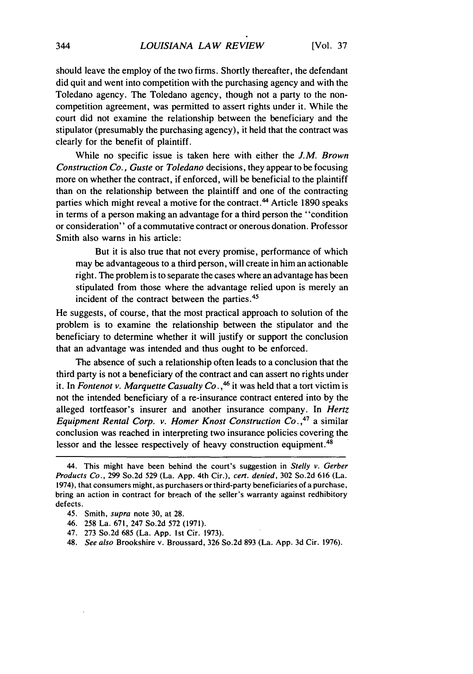should leave the employ of the two firms. Shortly thereafter, the defendant did quit and went into competition with the purchasing agency and with the Toledano agency. The Toledano agency, though not a party to the noncompetition agreement, was permitted to assert rights under it. While the court did not examine the relationship between the beneficiary and the stipulator (presumably the purchasing agency), it held that the contract was clearly for the benefit of plaintiff.

While no specific issue is taken here with either the *J.M. Brown Construction Co.,* Guste or *Toledano* decisions, they appear to be focusing more on whether the contract, if enforced, will be beneficial to the plaintiff than on the relationship between the plaintiff and one of the contracting parties which might reveal a motive for the contract.<sup>44</sup> Article 1890 speaks in terms of a person making an advantage for a third person the "condition or consideration" of a commutative contract or onerous donation. Professor Smith also warns in his article:

But it is also true that not every promise, performance of which may be advantageous to a third person, will create in him an actionable right. The problem is to separate the cases where an advantage has been stipulated from those where the advantage relied upon is merely an incident of the contract between the parties. <sup>45</sup>

He suggests, of course, that the most practical approach to solution of the problem is to examine the relationship between the stipulator and the beneficiary to determine whether it will justify or support the conclusion that an advantage was intended and thus ought to be enforced.

The absence of such a relationship often leads to a conclusion that the third party is not a beneficiary of the contract and can assert no rights under it. In *Fontenot v. Marquette Casualty Co.,"* it was held that a tort victim is not the intended beneficiary of a re-insurance contract entered into by the alleged tortfeasor's insurer and another insurance company. In *Hertz Equipment Rental Corp. v. Homer Knost Construction Co.,"* a similar conclusion was reached in interpreting two insurance policies covering the lessor and the lessee respectively of heavy construction equipment.<sup>48</sup>

- 47. 273 So.2d 685 (La. App. Ist Cir. 1973).
- 48. *See also* Brookshire v. Broussard, 326 So.2d 893 (La. App. 3d Cir. 1976).

<sup>44.</sup> This might have been behind the court's suggestion in Stelly  $v$ . Gerber Products *Co.,* 299 So.2d 529 (La. App. 4th Cir.), *cert. denied,* 302 So.2d 616 (La. 1974), that consumers might, as purchasers or third-party beneficiaries of a purchase, bring an action in contract for breach of the seller's warranty against redhibitory defects.

<sup>45.</sup> Smith, *supra* note 30, at 28.

<sup>46. 258</sup> La. 671, 247 So.2d 572 (1971).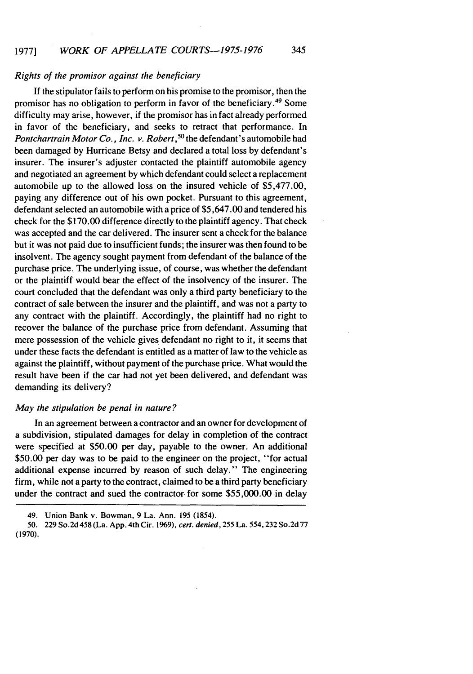# *Rights of the promisor against the beneficiary*

If the stipulator fails to perform on his promise to the promisor, then the promisor has no obligation to perform in favor of the beneficiary. 49 Some difficulty may arise, however, if the promisor has in fact already performed in favor of the beneficiary, and seeks to retract that performance. In *Pontchartrain Motor Co., Inc. v. Robert*,<sup>50</sup> the defendant's automobile had been damaged by Hurricane Betsy and declared a total loss by defendant's insurer. The insurer's adjuster contacted the plaintiff automobile agency and negotiated an agreement by which defendant could select a replacement automobile up to the allowed loss on the insured vehicle of \$5,477.00, paying any difference out of his own pocket. Pursuant to this agreement, defendant selected an automobile with a price of \$5,647.00 and tendered his check for the \$170.00 difference directly to the plaintiff agency. That check was accepted and the car delivered. The insurer sent a check for the balance but it was not paid due to insufficient funds; the insurer was then found to be insolvent. The agency sought payment from defendant of the balance of the purchase price. The underlying issue, of course, was whether the defendant or the plaintiff would bear the effect of the insolvency of the insurer. The court concluded that the defendant was only a third party beneficiary to the contract of sale between the insurer and the plaintiff, and was not a party to any contract with the plaintiff. Accordingly, the plaintiff had no right to recover the balance of the purchase price from defendant. Assuming that mere possession of the vehicle gives defendant no right to it, it seems that under these facts the defendant is entitled as a matter of law to the vehicle as against the plaintiff, without payment of the purchase price. What would the result have been if the car had not yet been delivered, and defendant was demanding its delivery?

# *May the stipulation be penal in nature?*

In an agreement between a contractor and an owner for development of a subdivision, stipulated damages for delay in completion of the contract were specified at \$50.00 per day, payable to the owner. An additional \$50.00 per day was to be paid to the engineer on the project, "for actual additional expense incurred by reason of such delay." The engineering firm, while not a party to the contract, claimed to be a third party beneficiary under the contract and sued the contractor for some \$55,000.00 in delay

<sup>49.</sup> Union Bank v. Bowman, 9 La. Ann. 195 (1854).

<sup>50. 229</sup> So.2d 458 (La. App. 4th Cir. 1969), *cert. denied,* 255 La. 554,232 So.2d 77 (1970).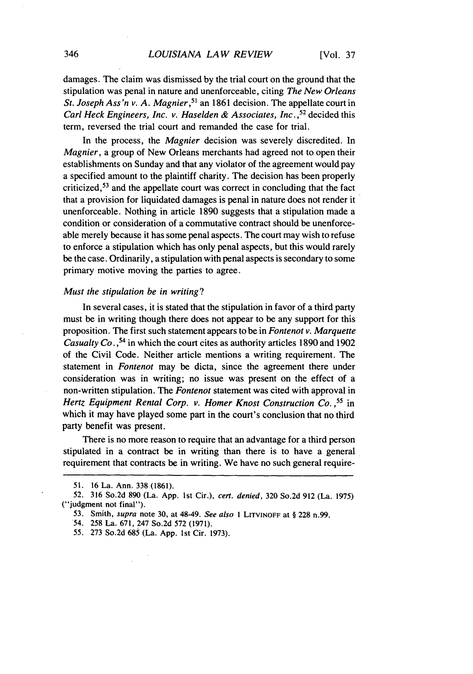damages. The claim was dismissed by the trial court on the ground that the stipulation was penal in nature and unenforceable, citing *The New Orleans St. Joseph Ass'n v. A. Magnier*,<sup>51</sup> an 1861 decision. The appellate court in *Carl Heck Engineers, Inc. v. Haselden & Associates, Inc.*<sup>52</sup> decided this term, reversed the trial court and remanded the case for trial.

In the process, the *Magnier* decision was severely discredited. In *Magnier,* a group of New Orleans merchants had agreed not to open their establishments on Sunday and that any violator of the agreement would pay a specified amount to the plaintiff charity. The decision has been properly criticized, 53 and the appellate court was correct in concluding that the fact that a provision for liquidated damages is penal in nature does not render it unenforceable. Nothing in article 1890 suggests that a stipulation made a condition or consideration of a commutative contract should be unenforceable merely because it has some penal aspects. The court may wish to refuse to enforce a stipulation which has only penal aspects, but this would rarely be the case. Ordinarily, a stipulation with penal aspects is secondary to some primary motive moving the parties to agree.

#### *Must the stipulation be in writing?*

In several cases, it is stated that the stipulation in favor of a third party must be in writing though there does not appear to be any support for this proposition. The first such statement appears to be in *Fontenot v. Marquette Casualty Co.*,<sup>54</sup> in which the court cites as authority articles 1890 and 1902 of the Civil Code. Neither article mentions a writing requirement. The statement in *Fontenot* may be dicta, since the agreement there under consideration was in writing; no issue was present on the effect of a non-written stipulation. The *Fontenot* statement was cited with approval in *Hertz Equipment Rental Corp. v. Homer Knost Construction Co. ,55* in which it may have played some part in the court's conclusion that no third party benefit was present.

There is no more reason to require that an advantage for a third person stipulated in a contract be in writing than there is to have a general requirement that contracts be in writing. We have no such general require-

- 54. 258 La. 671, 247 So.2d 572 (1971).
- 55. 273 So.2d 685 (La. App. 1st Cir. 1973).

<sup>51. 16</sup> La. Ann. 338 (1861).

<sup>52.</sup> 316 So.2d 890 (La. App. 1st Cir.), cert. denied, 320 So.2d 912 (La. 1975) ("judgment not final").

<sup>53.</sup> Smith, *supra* note 30, at 48-49. *See also* I LITVINOFF at § 228 n.99.